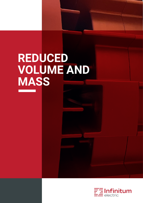## **REDUCED VOLUME AND MASS**